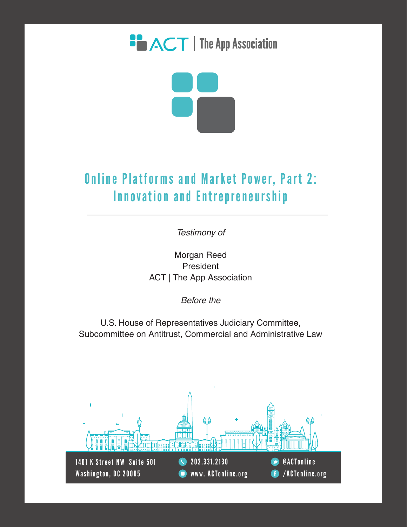



## **Online Platforms and Market Power, Part 2:** Innovation and Entrepreneurship

*Testimony of* 

Morgan Reed President ACT | The App Association

*Before the*

U.S. House of Representatives Judiciary Committee, Subcommittee on Antitrust, Commercial and Administrative Law

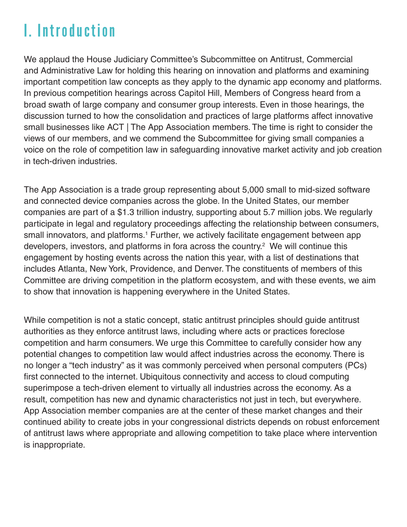# I. Introduction

We applaud the House Judiciary Committee's Subcommittee on Antitrust, Commercial and Administrative Law for holding this hearing on innovation and platforms and examining important competition law concepts as they apply to the dynamic app economy and platforms. In previous competition hearings across Capitol Hill, Members of Congress heard from a broad swath of large company and consumer group interests. Even in those hearings, the discussion turned to how the consolidation and practices of large platforms affect innovative small businesses like ACT | The App Association members. The time is right to consider the views of our members, and we commend the Subcommittee for giving small companies a voice on the role of competition law in safeguarding innovative market activity and job creation in tech-driven industries.

The App Association is a trade group representing about 5,000 small to mid-sized software and connected device companies across the globe. In the United States, our member companies are part of a \$1.3 trillion industry, supporting about 5.7 million jobs. We regularly participate in legal and regulatory proceedings affecting the relationship between consumers, small innovators, and platforms.<sup>1</sup> Further, we actively facilitate engagement between app developers, investors, and platforms in fora across the country.<sup>2</sup> We will continue this engagement by hosting events across the nation this year, with a list of destinations that includes Atlanta, New York, Providence, and Denver. The constituents of members of this Committee are driving competition in the platform ecosystem, and with these events, we aim to show that innovation is happening everywhere in the United States.

While competition is not a static concept, static antitrust principles should guide antitrust authorities as they enforce antitrust laws, including where acts or practices foreclose competition and harm consumers. We urge this Committee to carefully consider how any potential changes to competition law would affect industries across the economy. There is no longer a "tech industry" as it was commonly perceived when personal computers (PCs) first connected to the internet. Ubiquitous connectivity and access to cloud computing superimpose a tech-driven element to virtually all industries across the economy. As a result, competition has new and dynamic characteristics not just in tech, but everywhere. App Association member companies are at the center of these market changes and their continued ability to create jobs in your congressional districts depends on robust enforcement of antitrust laws where appropriate and allowing competition to take place where intervention is inappropriate.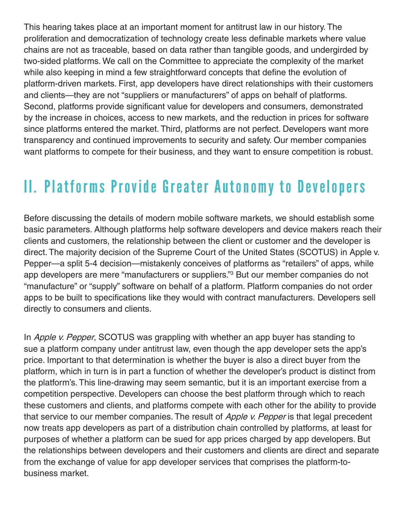This hearing takes place at an important moment for antitrust law in our history. The proliferation and democratization of technology create less definable markets where value chains are not as traceable, based on data rather than tangible goods, and undergirded by two-sided platforms. We call on the Committee to appreciate the complexity of the market while also keeping in mind a few straightforward concepts that define the evolution of platform-driven markets. First, app developers have direct relationships with their customers and clients—they are not "suppliers or manufacturers" of apps on behalf of platforms. Second, platforms provide significant value for developers and consumers, demonstrated by the increase in choices, access to new markets, and the reduction in prices for software since platforms entered the market. Third, platforms are not perfect. Developers want more transparency and continued improvements to security and safety. Our member companies want platforms to compete for their business, and they want to ensure competition is robust.

# II. Platforms Provide Greater Autonomy to Developers

Before discussing the details of modern mobile software markets, we should establish some basic parameters. Although platforms help software developers and device makers reach their clients and customers, the relationship between the client or customer and the developer is direct. The majority decision of the Supreme Court of the United States (SCOTUS) in Apple v. Pepper—a split 5-4 decision—mistakenly conceives of platforms as "retailers" of apps, while app developers are mere "manufacturers or suppliers." 3 But our member companies do not "manufacture" or "supply" software on behalf of a platform. Platform companies do not order apps to be built to specifications like they would with contract manufacturers. Developers sell directly to consumers and clients.

In Apple v. Pepper, SCOTUS was grappling with whether an app buyer has standing to sue a platform company under antitrust law, even though the app developer sets the app's price. Important to that determination is whether the buyer is also a direct buyer from the platform, which in turn is in part a function of whether the developer's product is distinct from the platform's. This line-drawing may seem semantic, but it is an important exercise from a competition perspective. Developers can choose the best platform through which to reach these customers and clients, and platforms compete with each other for the ability to provide that service to our member companies. The result of Apple v. Pepper is that legal precedent now treats app developers as part of a distribution chain controlled by platforms, at least for purposes of whether a platform can be sued for app prices charged by app developers. But the relationships between developers and their customers and clients are direct and separate from the exchange of value for app developer services that comprises the platform-tobusiness market.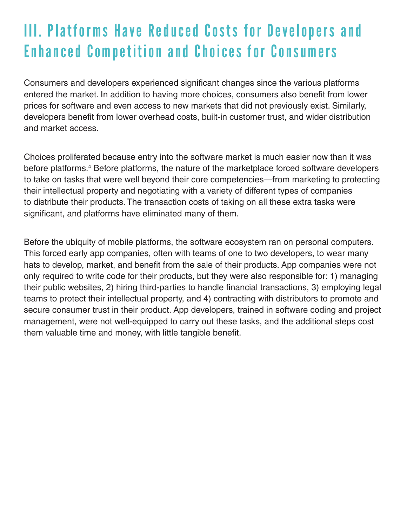# III. Platforms Have Reduced Costs for Developers and Enhanced Competition and Choices for Consumers

Consumers and developers experienced significant changes since the various platforms entered the market. In addition to having more choices, consumers also benefit from lower prices for software and even access to new markets that did not previously exist. Similarly, developers benefit from lower overhead costs, built-in customer trust, and wider distribution and market access.

Choices proliferated because entry into the software market is much easier now than it was before platforms.<sup>4</sup> Before platforms, the nature of the marketplace forced software developers to take on tasks that were well beyond their core competencies—from marketing to protecting their intellectual property and negotiating with a variety of different types of companies to distribute their products. The transaction costs of taking on all these extra tasks were significant, and platforms have eliminated many of them.

Before the ubiquity of mobile platforms, the software ecosystem ran on personal computers. This forced early app companies, often with teams of one to two developers, to wear many hats to develop, market, and benefit from the sale of their products. App companies were not only required to write code for their products, but they were also responsible for: 1) managing their public websites, 2) hiring third-parties to handle financial transactions, 3) employing legal teams to protect their intellectual property, and 4) contracting with distributors to promote and secure consumer trust in their product. App developers, trained in software coding and project management, were not well-equipped to carry out these tasks, and the additional steps cost them valuable time and money, with little tangible benefit.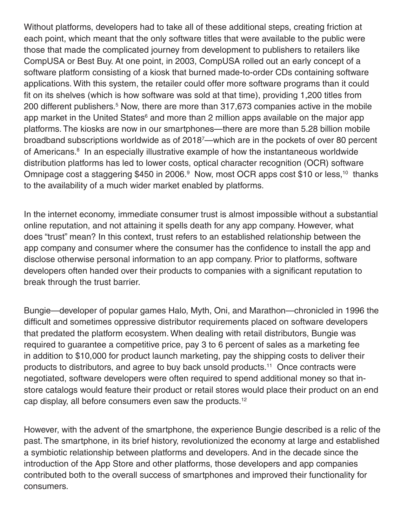Without platforms, developers had to take all of these additional steps, creating friction at each point, which meant that the only software titles that were available to the public were those that made the complicated journey from development to publishers to retailers like CompUSA or Best Buy. At one point, in 2003, CompUSA rolled out an early concept of a software platform consisting of a kiosk that burned made-to-order CDs containing software applications. With this system, the retailer could offer more software programs than it could fit on its shelves (which is how software was sold at that time), providing 1,200 titles from 200 different publishers.<sup>5</sup> Now, there are more than 317,673 companies active in the mobile app market in the United States<sup>6</sup> and more than 2 million apps available on the major app platforms. The kiosks are now in our smartphones—there are more than 5.28 billion mobile broadband subscriptions worldwide as of 20187 —which are in the pockets of over 80 percent of Americans.<sup>8</sup> In an especially illustrative example of how the instantaneous worldwide distribution platforms has led to lower costs, optical character recognition (OCR) software Omnipage cost a staggering \$450 in 2006.<sup>9</sup> Now, most OCR apps cost \$10 or less,<sup>10</sup> thanks to the availability of a much wider market enabled by platforms.

In the internet economy, immediate consumer trust is almost impossible without a substantial online reputation, and not attaining it spells death for any app company. However, what does "trust" mean? In this context, trust refers to an established relationship between the app company and consumer where the consumer has the confidence to install the app and disclose otherwise personal information to an app company. Prior to platforms, software developers often handed over their products to companies with a significant reputation to break through the trust barrier.

Bungie—developer of popular games Halo, Myth, Oni, and Marathon—chronicled in 1996 the difficult and sometimes oppressive distributor requirements placed on software developers that predated the platform ecosystem. When dealing with retail distributors, Bungie was required to guarantee a competitive price, pay 3 to 6 percent of sales as a marketing fee in addition to \$10,000 for product launch marketing, pay the shipping costs to deliver their products to distributors, and agree to buy back unsold products.<sup>11</sup> Once contracts were negotiated, software developers were often required to spend additional money so that instore catalogs would feature their product or retail stores would place their product on an end cap display, all before consumers even saw the products.12

However, with the advent of the smartphone, the experience Bungie described is a relic of the past. The smartphone, in its brief history, revolutionized the economy at large and established a symbiotic relationship between platforms and developers. And in the decade since the introduction of the App Store and other platforms, those developers and app companies contributed both to the overall success of smartphones and improved their functionality for consumers.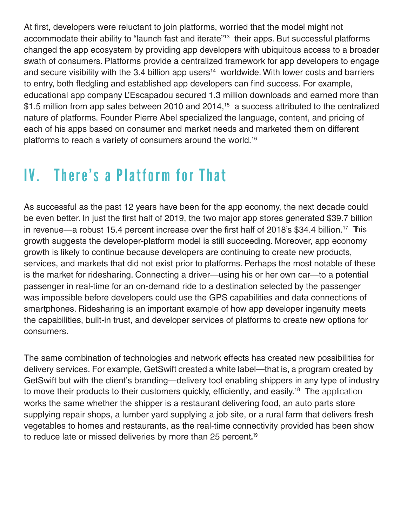At first, developers were reluctant to join platforms, worried that the model might not accommodate their ability to "launch fast and iterate"<sup>13</sup> their apps. But successful platforms changed the app ecosystem by providing app developers with ubiquitous access to a broader swath of consumers. Platforms provide a centralized framework for app developers to engage and secure visibility with the 3.4 billion app users<sup>14</sup> worldwide. With lower costs and barriers to entry, both fledgling and established app developers can find success. For example, educational app company L'Escapadou secured 1.3 million downloads and earned more than \$1.5 million from app sales between 2010 and 2014,<sup>15</sup> a success attributed to the centralized nature of platforms. Founder Pierre Abel specialized the language, content, and pricing of each of his apps based on consumer and market needs and marketed them on different platforms to reach a variety of consumers around the world.<sup>16</sup>

# IV. There's a Platform for That

As successful as the past 12 years have been for the app economy, the next decade could be even better. In just the first half of 2019, the two major app stores generated \$39.7 billion in revenue—a robust 15.4 percent increase over the first half of 2018's \$34.4 billion.<sup>17</sup> This growth suggests the developer-platform model is still succeeding. Moreover, app economy growth is likely to continue because developers are continuing to create new products, services, and markets that did not exist prior to platforms. Perhaps the most notable of these is the market for ridesharing. Connecting a driver—using his or her own car—to a potential passenger in real-time for an on-demand ride to a destination selected by the passenger was impossible before developers could use the GPS capabilities and data connections of smartphones. Ridesharing is an important example of how app developer ingenuity meets the capabilities, built-in trust, and developer services of platforms to create new options for consumers.

The same combination of technologies and network effects has created new possibilities for delivery services. For example, GetSwift created a white label—that is, a program created by GetSwift but with the client's branding—delivery tool enabling shippers in any type of industry to move their products to their customers quickly, efficiently, and easily.<sup>18</sup> The application works the same whether the shipper is a restaurant delivering food, an auto parts store supplying repair shops, a lumber yard supplying a job site, or a rural farm that delivers fresh vegetables to homes and restaurants, as the real-time connectivity provided has been show to reduce late or missed deliveries by more than 25 percent. 19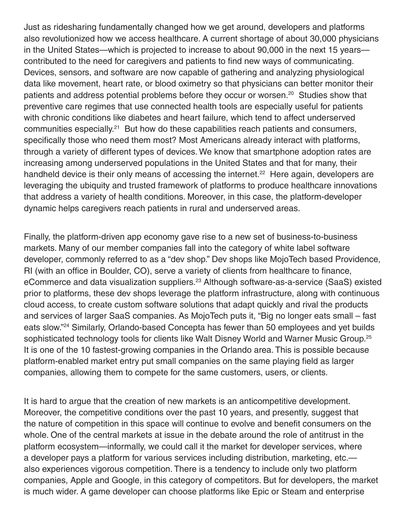Just as ridesharing fundamentally changed how we get around, developers and platforms also revolutionized how we access healthcare. A current shortage of about 30,000 physicians in the United States—which is projected to increase to about 90,000 in the next 15 years contributed to the need for caregivers and patients to find new ways of communicating. Devices, sensors, and software are now capable of gathering and analyzing physiological data like movement, heart rate, or blood oximetry so that physicians can better monitor their patients and address potential problems before they occur or worsen.<sup>20</sup> Studies show that preventive care regimes that use connected health tools are especially useful for patients with chronic conditions like diabetes and heart failure, which tend to affect underserved communities especially.<sup>21</sup> But how do these capabilities reach patients and consumers, specifically those who need them most? Most Americans already interact with platforms, through a variety of different types of devices. We know that smartphone adoption rates are increasing among underserved populations in the United States and that for many, their handheld device is their only means of accessing the internet.<sup>22</sup> Here again, developers are leveraging the ubiquity and trusted framework of platforms to produce healthcare innovations that address a variety of health conditions. Moreover, in this case, the platform-developer dynamic helps caregivers reach patients in rural and underserved areas.

Finally, the platform-driven app economy gave rise to a new set of business-to-business markets. Many of our member companies fall into the category of white label software developer, commonly referred to as a "dev shop." Dev shops like MojoTech based Providence, RI (with an office in Boulder, CO), serve a variety of clients from healthcare to finance, eCommerce and data visualization suppliers.23 Although software-as-a-service (SaaS) existed prior to platforms, these dev shops leverage the platform infrastructure, along with continuous cloud access, to create custom software solutions that adapt quickly and rival the products and services of larger SaaS companies. As MojoTech puts it, "Big no longer eats small – fast eats slow."24 Similarly, Orlando-based Concepta has fewer than 50 employees and yet builds sophisticated technology tools for clients like Walt Disney World and Warner Music Group.<sup>25</sup> It is one of the 10 fastest-growing companies in the Orlando area. This is possible because platform-enabled market entry put small companies on the same playing field as larger companies, allowing them to compete for the same customers, users, or clients.

It is hard to argue that the creation of new markets is an anticompetitive development. Moreover, the competitive conditions over the past 10 years, and presently, suggest that the nature of competition in this space will continue to evolve and benefit consumers on the whole. One of the central markets at issue in the debate around the role of antitrust in the platform ecosystem—informally, we could call it the market for developer services, where a developer pays a platform for various services including distribution, marketing, etc. also experiences vigorous competition. There is a tendency to include only two platform companies, Apple and Google, in this category of competitors. But for developers, the market is much wider. A game developer can choose platforms like Epic or Steam and enterprise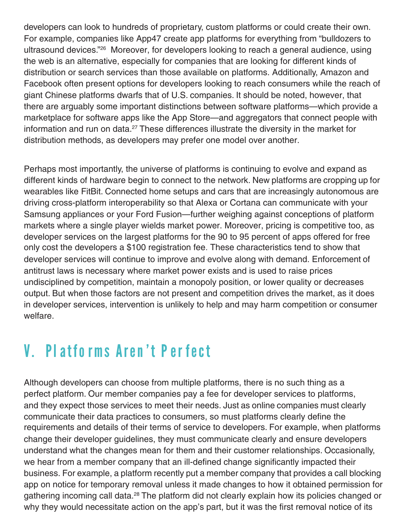developers can look to hundreds of proprietary, custom platforms or could create their own. For example, companies like App47 create app platforms for everything from "bulldozers to ultrasound devices."26 Moreover, for developers looking to reach a general audience, using the web is an alternative, especially for companies that are looking for different kinds of distribution or search services than those available on platforms. Additionally, Amazon and Facebook often present options for developers looking to reach consumers while the reach of giant Chinese platforms dwarfs that of U.S. companies. It should be noted, however, that there are arguably some important distinctions between software platforms—which provide a marketplace for software apps like the App Store—and aggregators that connect people with information and run on data. $27$  These differences illustrate the diversity in the market for distribution methods, as developers may prefer one model over another.

Perhaps most importantly, the universe of platforms is continuing to evolve and expand as different kinds of hardware begin to connect to the network. New platforms are cropping up for wearables like FitBit. Connected home setups and cars that are increasingly autonomous are driving cross-platform interoperability so that Alexa or Cortana can communicate with your Samsung appliances or your Ford Fusion—further weighing against conceptions of platform markets where a single player wields market power. Moreover, pricing is competitive too, as developer services on the largest platforms for the 90 to 95 percent of apps offered for free only cost the developers a \$100 registration fee. These characteristics tend to show that developer services will continue to improve and evolve along with demand. Enforcement of antitrust laws is necessary where market power exists and is used to raise prices undisciplined by competition, maintain a monopoly position, or lower quality or decreases output. But when those factors are not present and competition drives the market, as it does in developer services, intervention is unlikely to help and may harm competition or consumer welfare.

## V. Platforms Aren't Perfect

Although developers can choose from multiple platforms, there is no such thing as a perfect platform. Our member companies pay a fee for developer services to platforms, and they expect those services to meet their needs. Just as online companies must clearly communicate their data practices to consumers, so must platforms clearly define the requirements and details of their terms of service to developers. For example, when platforms change their developer guidelines, they must communicate clearly and ensure developers understand what the changes mean for them and their customer relationships. Occasionally, we hear from a member company that an ill-defined change significantly impacted their business. For example, a platform recently put a member company that provides a call blocking app on notice for temporary removal unless it made changes to how it obtained permission for gathering incoming call data.<sup>28</sup> The platform did not clearly explain how its policies changed or why they would necessitate action on the app's part, but it was the first removal notice of its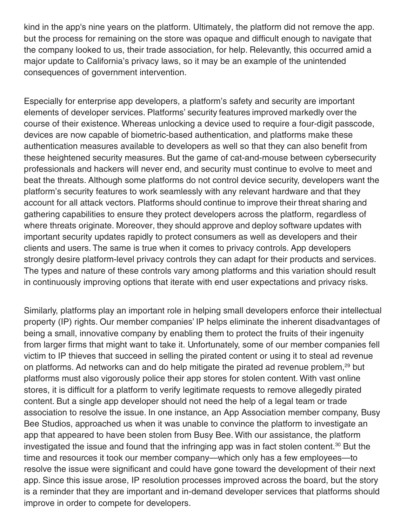kind in the app's nine years on the platform. Ultimately, the platform did not remove the app. but the process for remaining on the store was opaque and difficult enough to navigate that the company looked to us, their trade association, for help. Relevantly, this occurred amid a major update to California's privacy laws, so it may be an example of the unintended consequences of government intervention.

Especially for enterprise app developers, a platform's safety and security are important elements of developer services. Platforms' security features improved markedly over the course of their existence. Whereas unlocking a device used to require a four-digit passcode, devices are now capable of biometric-based authentication, and platforms make these authentication measures available to developers as well so that they can also benefit from these heightened security measures. But the game of cat-and-mouse between cybersecurity professionals and hackers will never end, and security must continue to evolve to meet and beat the threats. Although some platforms do not control device security, developers want the platform's security features to work seamlessly with any relevant hardware and that they account for all attack vectors. Platforms should continue to improve their threat sharing and gathering capabilities to ensure they protect developers across the platform, regardless of where threats originate. Moreover, they should approve and deploy software updates with important security updates rapidly to protect consumers as well as developers and their clients and users. The same is true when it comes to privacy controls. App developers strongly desire platform-level privacy controls they can adapt for their products and services. The types and nature of these controls vary among platforms and this variation should result in continuously improving options that iterate with end user expectations and privacy risks.

Similarly, platforms play an important role in helping small developers enforce their intellectual property (IP) rights. Our member companies' IP helps eliminate the inherent disadvantages of being a small, innovative company by enabling them to protect the fruits of their ingenuity from larger firms that might want to take it. Unfortunately, some of our member companies fell victim to IP thieves that succeed in selling the pirated content or using it to steal ad revenue on platforms. Ad networks can and do help mitigate the pirated ad revenue problem,<sup>29</sup> but platforms must also vigorously police their app stores for stolen content. With vast online stores, it is difficult for a platform to verify legitimate requests to remove allegedly pirated content. But a single app developer should not need the help of a legal team or trade association to resolve the issue. In one instance, an App Association member company, Busy Bee Studios, approached us when it was unable to convince the platform to investigate an app that appeared to have been stolen from Busy Bee. With our assistance, the platform investigated the issue and found that the infringing app was in fact stolen content.<sup>30</sup> But the time and resources it took our member company—which only has a few employees—to resolve the issue were significant and could have gone toward the development of their next app. Since this issue arose, IP resolution processes improved across the board, but the story is a reminder that they are important and in-demand developer services that platforms should improve in order to compete for developers.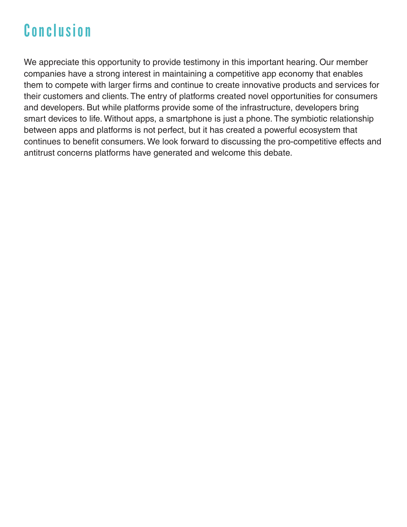# Conclusion

We appreciate this opportunity to provide testimony in this important hearing. Our member companies have a strong interest in maintaining a competitive app economy that enables them to compete with larger firms and continue to create innovative products and services for their customers and clients. The entry of platforms created novel opportunities for consumers and developers. But while platforms provide some of the infrastructure, developers bring smart devices to life. Without apps, a smartphone is just a phone. The symbiotic relationship between apps and platforms is not perfect, but it has created a powerful ecosystem that continues to benefit consumers. We look forward to discussing the pro-competitive effects and antitrust concerns platforms have generated and welcome this debate.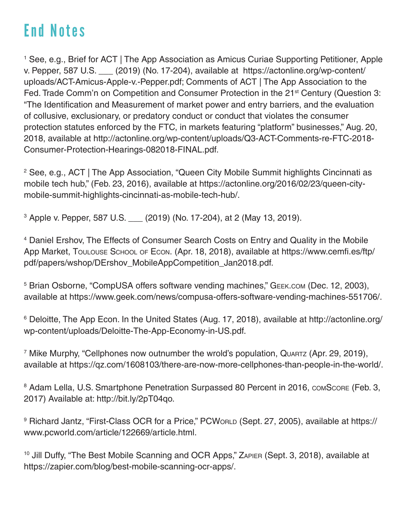# End Notes

<sup>1</sup> See, e.g., Brief for ACT | The App Association as Amicus Curiae Supporting Petitioner, Apple v. Pepper, 587 U.S. \_\_\_ (2019) (No. 17-204), available at https://actonline.org/wp-content/ uploads/ACT-Amicus-Apple-v.-Pepper.pdf; Comments of ACT | The App Association to the Fed. Trade Comm'n on Competition and Consumer Protection in the 21<sup>st</sup> Century (Question 3: "The Identification and Measurement of market power and entry barriers, and the evaluation of collusive, exclusionary, or predatory conduct or conduct that violates the consumer protection statutes enforced by the FTC, in markets featuring "platform" businesses," Aug. 20, 2018, available at http://actonline.org/wp-content/uploads/Q3-ACT-Comments-re-FTC-2018- Consumer-Protection-Hearings-082018-FINAL.pdf.

<sup>2</sup> See, e.g., ACT | The App Association, "Queen City Mobile Summit highlights Cincinnati as mobile tech hub," (Feb. 23, 2016), available at https://actonline.org/2016/02/23/queen-citymobile-summit-highlights-cincinnati-as-mobile-tech-hub/.

3 Apple v. Pepper, 587 U.S. \_\_\_ (2019) (No. 17-204), at 2 (May 13, 2019).

4 Daniel Ershov, The Effects of Consumer Search Costs on Entry and Quality in the Mobile App Market, Toulouse School of Econ. (Apr. 18, 2018), available at https://www.cemfi.es/ftp/ pdf/papers/wshop/DErshov\_MobileAppCompetition\_Jan2018.pdf.

5 Brian Osborne, "CompUSA offers software vending machines," Geek.com (Dec. 12, 2003), available at https://www.geek.com/news/compusa-offers-software-vending-machines-551706/.

6 Deloitte, The App Econ. In the United States (Aug. 17, 2018), available at http://actonline.org/ wp-content/uploads/Deloitte-The-App-Economy-in-US.pdf.

<sup>7</sup> Mike Murphy, "Cellphones now outnumber the wrold's population, Quartz (Apr. 29, 2019), available at https://qz.com/1608103/there-are-now-more-cellphones-than-people-in-the-world/.

<sup>8</sup> Adam Lella, U.S. Smartphone Penetration Surpassed 80 Percent in 2016, COMSCORE (Feb. 3, 2017) Available at: http://bit.ly/2pT04qo.

<sup>9</sup> Richard Jantz, "First-Class OCR for a Price," PCWorLD (Sept. 27, 2005), available at https:// www.pcworld.com/article/122669/article.html.

10 Jill Duffy, "The Best Mobile Scanning and OCR Apps," Zapier (Sept. 3, 2018), available at https://zapier.com/blog/best-mobile-scanning-ocr-apps/.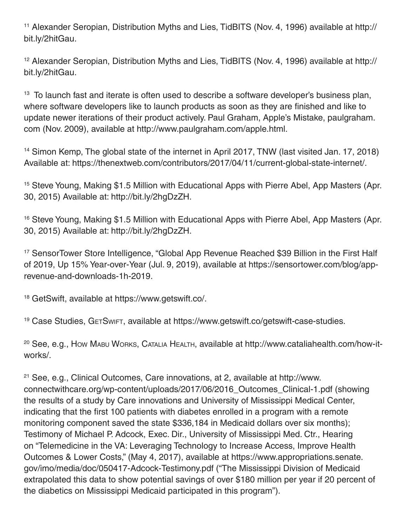<sup>11</sup> Alexander Seropian, Distribution Myths and Lies, TidBITS (Nov. 4, 1996) available at http:// bit.ly/2hitGau.

<sup>12</sup> Alexander Seropian, Distribution Myths and Lies, TidBITS (Nov. 4, 1996) available at http:// bit.ly/2hitGau.

<sup>13</sup> To launch fast and iterate is often used to describe a software developer's business plan, where software developers like to launch products as soon as they are finished and like to update newer iterations of their product actively. Paul Graham, Apple's Mistake, paulgraham. com (Nov. 2009), available at http://www.paulgraham.com/apple.html.

<sup>14</sup> Simon Kemp, The global state of the internet in April 2017, TNW (last visited Jan. 17, 2018) Available at: https://thenextweb.com/contributors/2017/04/11/current-global-state-internet/.

<sup>15</sup> Steve Young, Making \$1.5 Million with Educational Apps with Pierre Abel, App Masters (Apr. 30, 2015) Available at: http://bit.ly/2hgDzZH.

<sup>16</sup> Steve Young, Making \$1.5 Million with Educational Apps with Pierre Abel, App Masters (Apr. 30, 2015) Available at: http://bit.ly/2hgDzZH.

<sup>17</sup> SensorTower Store Intelligence, "Global App Revenue Reached \$39 Billion in the First Half of 2019, Up 15% Year-over-Year (Jul. 9, 2019), available at https://sensortower.com/blog/apprevenue-and-downloads-1h-2019.

<sup>18</sup> GetSwift, available at https://www.getswift.co/.

<sup>19</sup> Case Studies, GETSWIFT, available at https://www.getswift.co/getswift-case-studies.

20 See, e.g., How Mabu Works, Catalia Health, available at http://www.cataliahealth.com/how-itworks/.

<sup>21</sup> See, e.g., Clinical Outcomes, Care innovations, at 2, available at http://www. connectwithcare.org/wp-content/uploads/2017/06/2016\_Outcomes\_Clinical-1.pdf (showing the results of a study by Care innovations and University of Mississippi Medical Center, indicating that the first 100 patients with diabetes enrolled in a program with a remote monitoring component saved the state \$336,184 in Medicaid dollars over six months); Testimony of Michael P. Adcock, Exec. Dir., University of Mississippi Med. Ctr., Hearing on "Telemedicine in the VA: Leveraging Technology to Increase Access, Improve Health Outcomes & Lower Costs," (May 4, 2017), available at https://www.appropriations.senate. gov/imo/media/doc/050417-Adcock-Testimony.pdf ("The Mississippi Division of Medicaid extrapolated this data to show potential savings of over \$180 million per year if 20 percent of the diabetics on Mississippi Medicaid participated in this program").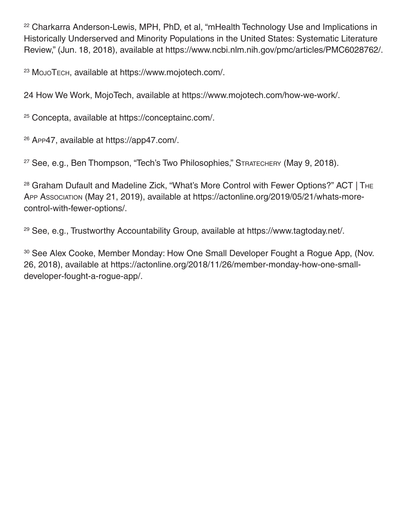<sup>22</sup> Charkarra Anderson-Lewis, MPH, PhD, et al, "mHealth Technology Use and Implications in Historically Underserved and Minority Populations in the United States: Systematic Literature Review," (Jun. 18, 2018), available at https://www.ncbi.nlm.nih.gov/pmc/articles/PMC6028762/.

<sup>23</sup> MojoTech, available at https://www.mojotech.com/.

24 How We Work, MojoTech, available at https://www.mojotech.com/how-we-work/.

<sup>25</sup> Concepta, available at https://conceptainc.com/.

<sup>26</sup> App47, available at https://app47.com/.

<sup>27</sup> See, e.g., Ben Thompson, "Tech's Two Philosophies," STRATECHERY (May 9, 2018).

<sup>28</sup> Graham Dufault and Madeline Zick, "What's More Control with Fewer Options?" ACT | THE App Association (May 21, 2019), available at https://actonline.org/2019/05/21/whats-morecontrol-with-fewer-options/.

<sup>29</sup> See, e.g., Trustworthy Accountability Group, available at https://www.tagtoday.net/.

30 See Alex Cooke, Member Monday: How One Small Developer Fought a Rogue App, (Nov. 26, 2018), available at https://actonline.org/2018/11/26/member-monday-how-one-smalldeveloper-fought-a-rogue-app/.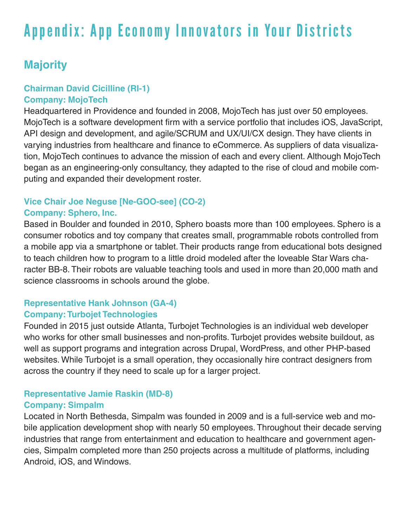# Appendix: App Economy Innovators in Your Districts

### **Majority**

#### **Chairman David Cicilline (RI-1) Company: MojoTech**

Headquartered in Providence and founded in 2008, MojoTech has just over 50 employees. MojoTech is a software development firm with a service portfolio that includes iOS, JavaScript, API design and development, and agile/SCRUM and UX/UI/CX design. They have clients in varying industries from healthcare and finance to eCommerce. As suppliers of data visualization, MojoTech continues to advance the mission of each and every client. Although MojoTech began as an engineering-only consultancy, they adapted to the rise of cloud and mobile computing and expanded their development roster.

#### **Vice Chair Joe Neguse [Ne-GOO-see] (CO-2) Company: Sphero, Inc.**

Based in Boulder and founded in 2010, Sphero boasts more than 100 employees. Sphero is a consumer robotics and toy company that creates small, programmable robots controlled from a mobile app via a smartphone or tablet. Their products range from educational bots designed to teach children how to program to a little droid modeled after the loveable Star Wars character BB-8. Their robots are valuable teaching tools and used in more than 20,000 math and science classrooms in schools around the globe.

#### **Representative Hank Johnson (GA-4) Company: Turbojet Technologies**

Founded in 2015 just outside Atlanta, Turbojet Technologies is an individual web developer who works for other small businesses and non-profits. Turbojet provides website buildout, as well as support programs and integration across Drupal, WordPress, and other PHP-based websites. While Turbojet is a small operation, they occasionally hire contract designers from across the country if they need to scale up for a larger project.

## **Representative Jamie Raskin (MD-8)**

#### **Company: Simpalm**

Located in North Bethesda, Simpalm was founded in 2009 and is a full-service web and mobile application development shop with nearly 50 employees. Throughout their decade serving industries that range from entertainment and education to healthcare and government agencies, Simpalm completed more than 250 projects across a multitude of platforms, including Android, iOS, and Windows.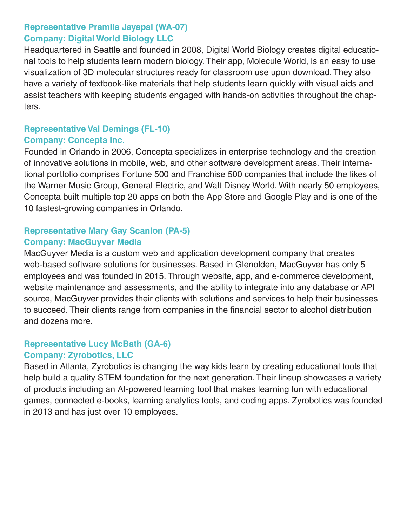#### **Representative Pramila Jayapal (WA-07) Company: Digital World Biology LLC**

Headquartered in Seattle and founded in 2008, Digital World Biology creates digital educational tools to help students learn modern biology. Their app, Molecule World, is an easy to use visualization of 3D molecular structures ready for classroom use upon download. They also have a variety of textbook-like materials that help students learn quickly with visual aids and assist teachers with keeping students engaged with hands-on activities throughout the chapters.

## **Representative Val Demings (FL-10)**

#### **Company: Concepta Inc.**

Founded in Orlando in 2006, Concepta specializes in enterprise technology and the creation of innovative solutions in mobile, web, and other software development areas. Their international portfolio comprises Fortune 500 and Franchise 500 companies that include the likes of the Warner Music Group, General Electric, and Walt Disney World. With nearly 50 employees, Concepta built multiple top 20 apps on both the App Store and Google Play and is one of the 10 fastest-growing companies in Orlando.

#### **Representative Mary Gay Scanlon (PA-5) Company: MacGuyver Media**

MacGuyver Media is a custom web and application development company that creates web-based software solutions for businesses. Based in Glenolden, MacGuyver has only 5 employees and was founded in 2015. Through website, app, and e-commerce development, website maintenance and assessments, and the ability to integrate into any database or API source, MacGuyver provides their clients with solutions and services to help their businesses to succeed. Their clients range from companies in the financial sector to alcohol distribution and dozens more.

#### **Representative Lucy McBath (GA-6)**

#### **Company: Zyrobotics, LLC**

Based in Atlanta, Zyrobotics is changing the way kids learn by creating educational tools that help build a quality STEM foundation for the next generation. Their lineup showcases a variety of products including an AI-powered learning tool that makes learning fun with educational games, connected e-books, learning analytics tools, and coding apps. Zyrobotics was founded in 2013 and has just over 10 employees.